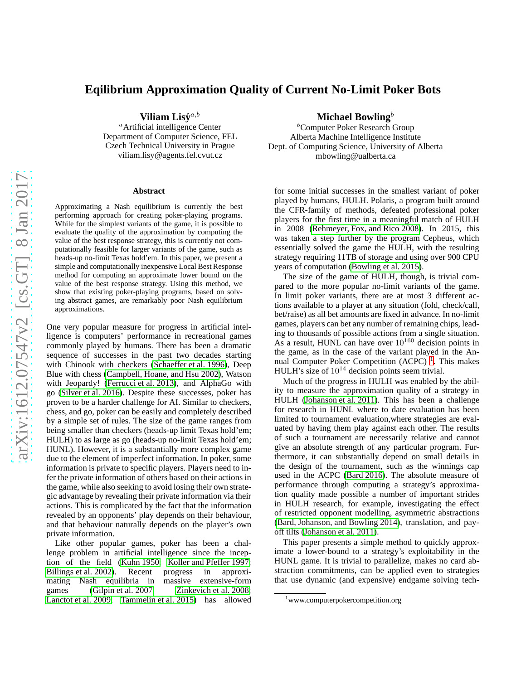# **Eqilibrium Approximation Quality of Current No-Limit Poker Bots**

Viliam Lisý<sup>a,b</sup>

<sup>a</sup>Artificial intelligence Center Department of Computer Science, FEL Czech Technical University in Prague viliam.lisy@agents.fel.cvut.cz

#### **Abstract**

Approximating a Nash equilibrium is currently the best performing approach for creating poker-playing programs. While for the simplest variants of the game, it is possible to evaluate the quality of the approximation by computing the value of the best response strategy, this is currently not computationally feasible for larger variants of the game, such as heads-up no-limit Texas hold'em. In this paper, we present a simple and computationally inexpensive Local Best Response method for computing an approximate lower bound on the value of the best response strategy. Using this method, we show that existing poker-playing programs, based on solving abstract games, are remarkably poor Nash equilibrium approximations.

One very popular measure for progress in artificial intelligence is computers' performance in recreational games commonly played by humans. There has been a dramatic sequence of successes in the past two decades starting with Chinook with checkers [\(Schaeffer et al. 1996\)](#page-5-0), Deep Blue with chess [\(Campbell, Hoane, and Hsu 2002\)](#page-5-1), Watson with Jeopardy! [\(Ferrucci et al. 2013\)](#page-5-2), and AlphaGo with go [\(Silver et al. 2016\)](#page-5-3). Despite these successes, poker has proven to be a harder challenge for AI. Similar to checkers, chess, and go, poker can be easily and completely described by a simple set of rules. The size of the game ranges from being smaller than checkers (heads-up limit Texas hold'em; HULH) to as large as go (heads-up no-limit Texas hold'em; HUNL). However, it is a substantially more complex game due to the element of imperfect information. In poker, some information is private to specific players. Players need to infer the private information of others based on their actions in the game, while also seeking to avoid losing their own strategic advantage by revealing their private information via their actions. This is complicated by the fact that the information revealed by an opponents' play depends on their behaviour, and that behaviour naturally depends on the player's own private information.

Like other popular games, poker has been a challenge problem in artificial intelligence since the inception of the field [\(Kuhn 1950;](#page-5-4) [Koller and Pfeffer 1997;](#page-5-5) [Billings et al. 2002\)](#page-5-6). Recent progress in approximating Nash equilibria in massive extensive-form Nash equilibria in massive extensive-form games [\(Gilpin et al. 2007;](#page-5-7) [Zinkevich et al. 2008;](#page-5-8) [Lanctot et al. 2009;](#page-5-9) [Tammelin et al. 2015\)](#page-5-10) has allowed

#### **Michael Bowling**<sup>b</sup>

<sup>b</sup>Computer Poker Research Group Alberta Machine Intelligence Institute Dept. of Computing Science, University of Alberta mbowling@ualberta.ca

for some initial successes in the smallest variant of poker played by humans, HULH. Polaris, a program built around the CFR-family of methods, defeated professional poker players for the first time in a meaningful match of HULH in 2008 [\(Rehmeyer, Fox, and Rico 2008\)](#page-5-11). In 2015, this was taken a step further by the program Cepheus, which essentially solved the game the HULH, with the resulting strategy requiring 11TB of storage and using over 900 CPU years of computation [\(Bowling et al. 2015\)](#page-5-12).

The size of the game of HULH, though, is trivial compared to the more popular no-limit variants of the game. In limit poker variants, there are at most 3 different actions available to a player at any situation (fold, check/call, bet/raise) as all bet amounts are fixed in advance. In no-limit games, players can bet any number of remaining chips, leading to thousands of possible actions from a single situation. As a result, HUNL can have over  $10^{160}$  decision points in the game, as in the case of the variant played in the An-nual Computer Poker Competition (ACPC)<sup>[1](#page-0-0)</sup>. This makes HULH's size of  $10^{14}$  decision points seem trivial.

Much of the progress in HULH was enabled by the ability to measure the approximation quality of a strategy in HULH [\(Johanson et al. 2011\)](#page-5-13). This has been a challenge for research in HUNL where to date evaluation has been limited to tournament evaluation,where strategies are evaluated by having them play against each other. The results of such a tournament are necessarily relative and cannot give an absolute strength of any particular program. Furthermore, it can substantially depend on small details in the design of the tournament, such as the winnings cap used in the ACPC [\(Bard 2016\)](#page-5-14). The absolute measure of performance through computing a strategy's approximation quality made possible a number of important strides in HULH research, for example, investigating the effect of restricted opponent modelling, asymmetric abstractions [\(Bard, Johanson, and Bowling 2014\)](#page-5-15), translation, and payoff tilts [\(Johanson et al. 2011\)](#page-5-13).

This paper presents a simple method to quickly approximate a lower-bound to a strategy's exploitability in the HUNL game. It is trivial to parallelize, makes no card abstraction commitments, can be applied even to strategies that use dynamic (and expensive) endgame solving tech-

<span id="page-0-0"></span><sup>&</sup>lt;sup>1</sup>www.computerpokercompetition.org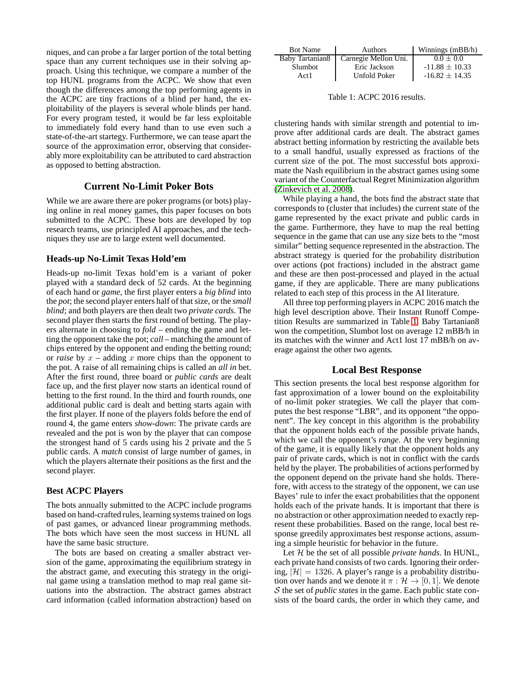niques, and can probe a far larger portion of the total betting space than any current techniques use in their solving approach. Using this technique, we compare a number of the top HUNL programs from the ACPC. We show that even though the differences among the top performing agents in the ACPC are tiny fractions of a blind per hand, the exploitability of the players is several whole blinds per hand. For every program tested, it would be far less exploitable to immediately fold every hand than to use even such a state-of-the-art startegy. Furthermore, we can tease apart the source of the approximation error, observing that considerably more exploitability can be attributed to card abstraction as opposed to betting abstraction.

# **Current No-Limit Poker Bots**

While we are aware there are poker programs (or bots) playing online in real money games, this paper focuses on bots submitted to the ACPC. These bots are developed by top research teams, use principled AI approaches, and the techniques they use are to large extent well documented.

#### **Heads-up No-Limit Texas Hold'em**

Heads-up no-limit Texas hold'em is a variant of poker played with a standard deck of 52 cards. At the beginning of each hand or *game*, the first player enters a *big blind* into the *pot*; the second player enters half of that size, or the *small blind*; and both players are then dealt two *private cards*. The second player then starts the first round of betting. The players alternate in choosing to *fold* – ending the game and letting the opponent take the pot; *call* – matching the amount of chips entered by the opponent and ending the betting round; or *raise* by  $x$  – adding x more chips than the opponent to the pot. A raise of all remaining chips is called an *all in* bet. After the first round, three board or *public cards* are dealt face up, and the first player now starts an identical round of betting to the first round. In the third and fourth rounds, one additional public card is dealt and betting starts again with the first player. If none of the players folds before the end of round 4, the game enters *show-down*: The private cards are revealed and the pot is won by the player that can compose the strongest hand of 5 cards using his 2 private and the 5 public cards. A *match* consist of large number of games, in which the players alternate their positions as the first and the second player.

# **Best ACPC Players**

The bots annually submitted to the ACPC include programs based on hand-crafted rules, learning systems trained on logs of past games, or advanced linear programming methods. The bots which have seen the most success in HUNL all have the same basic structure.

The bots are based on creating a smaller abstract version of the game, approximating the equilibrium strategy in the abstract game, and executing this strategy in the original game using a translation method to map real game situations into the abstraction. The abstract games abstract card information (called information abstraction) based on

| <b>Bot Name</b> | Authors              | Winnings (mBB/h)   |
|-----------------|----------------------|--------------------|
| Baby Tartanian8 | Carnegie Mellon Uni. | $0.0 + 0.0$        |
| Slumbot         | Eric Jackson         | $-11.88 \pm 10.33$ |
| Act 1           | <b>Unfold Poker</b>  | $-16.82 + 14.35$   |

<span id="page-1-0"></span>Table 1: ACPC 2016 results.

clustering hands with similar strength and potential to improve after additional cards are dealt. The abstract games abstract betting information by restricting the available bets to a small handful, usually expressed as fractions of the current size of the pot. The most successful bots approximate the Nash equilibrium in the abstract games using some variant of the Counterfactual Regret Minimization algorithm [\(Zinkevich et al. 2008\)](#page-5-8).

While playing a hand, the bots find the abstract state that corresponds to (cluster that includes) the current state of the game represented by the exact private and public cards in the game. Furthermore, they have to map the real betting sequence in the game that can use any size bets to the "most similar" betting sequence represented in the abstraction. The abstract strategy is queried for the probability distribution over actions (pot fractions) included in the abstract game and these are then post-processed and played in the actual game, if they are applicable. There are many publications related to each step of this process in the AI literature.

All three top performing players in ACPC 2016 match the high level description above. Their Instant Runoff Competition Results are summarized in Table [1.](#page-1-0) Baby Tartanian8 won the competition, Slumbot lost on average 12 mBB/h in its matches with the winner and Act1 lost 17 mBB/h on average against the other two agents.

# **Local Best Response**

This section presents the local best response algorithm for fast approximation of a lower bound on the exploitability of no-limit poker strategies. We call the player that computes the best response "LBR", and its opponent "the opponent". The key concept in this algorithm is the probability that the opponent holds each of the possible private hands, which we call the opponent's *range*. At the very beginning of the game, it is equally likely that the opponent holds any pair of private cards, which is not in conflict with the cards held by the player. The probabilities of actions performed by the opponent depend on the private hand she holds. Therefore, with access to the strategy of the opponent, we can use Bayes' rule to infer the exact probabilities that the opponent holds each of the private hands. It is important that there is no abstraction or other approximation needed to exactly represent these probabilities. Based on the range, local best response greedily approximates best response actions, assuming a simple heuristic for behavior in the future.

Let H be the set of all possible *private hands*. In HUNL, each private hand consists of two cards. Ignoring their ordering,  $|\mathcal{H}| = 1326$ . A player's range is a probability distribution over hands and we denote it  $\pi : \mathcal{H} \to [0, 1]$ . We denote S the set of *public states* in the game. Each public state consists of the board cards, the order in which they came, and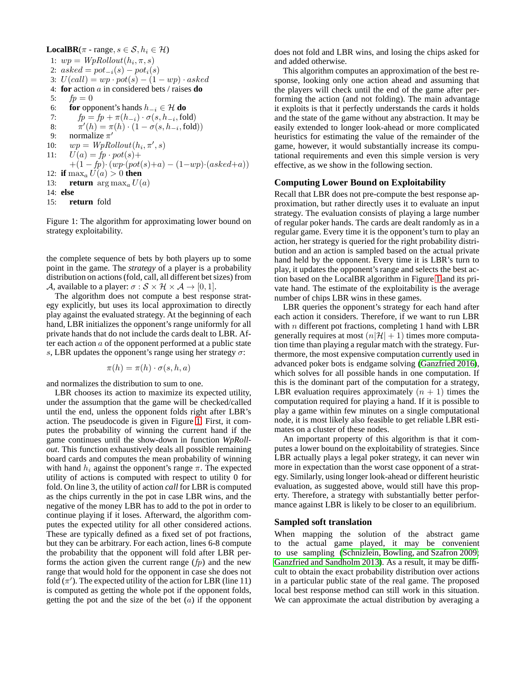**LocalBR**( $\pi$  - range,  $s \in \mathcal{S}$ ,  $h_i \in \mathcal{H}$ ) 1:  $wp = WpRollout(h_i, \pi, s)$ 2:  $asked = pot_{-i}(s) - pot_i(s)$ 3:  $U(call) = wp \cdot pot(s) - (1 - wp) \cdot asked$ 4: **for** action a in considered bets / raises **do** 5:  $fp = 0$ 6: **for** opponent's hands  $h_{-i} \in \mathcal{H}$  **do** 7:  $fp = fp + \pi(h_{-i}) \cdot \sigma(s, h_{-i}, \text{fold})$ 8:  $\pi'(h) = \pi(h) \cdot (1 - \sigma(s, h_{-i}, \text{fold}))$ 9: normalize  $\pi'$ 10:  $wp = WpRollout(h_i, \pi', s)$ 11:  $U(a) = fp \cdot pot(s) +$  $+(1-fp) \cdot (wp(pot(s)+a) - (1-wp) \cdot (asked+a))$ 12: **if**  $\max_{a} U(a) > 0$  **then** 13: **return**  $\arg \max_a U(a)$ 14: **else** 15: **return** fold

<span id="page-2-0"></span>Figure 1: The algorithm for approximating lower bound on strategy exploitability.

the complete sequence of bets by both players up to some point in the game. The *strategy* of a player is a probability distribution on actions (fold, call, all different bet sizes) from A, available to a player:  $\sigma : \mathcal{S} \times \mathcal{H} \times \mathcal{A} \rightarrow [0, 1].$ 

The algorithm does not compute a best response strategy explicitly, but uses its local approximation to directly play against the evaluated strategy. At the beginning of each hand, LBR initializes the opponent's range uniformly for all private hands that do not include the cards dealt to LBR. After each action  $a$  of the opponent performed at a public state s, LBR updates the opponent's range using her strategy  $\sigma$ :

$$
\pi(h) = \pi(h) \cdot \sigma(s, h, a)
$$

and normalizes the distribution to sum to one.

LBR chooses its action to maximize its expected utility, under the assumption that the game will be checked/called until the end, unless the opponent folds right after LBR's action. The pseudocode is given in Figure [1.](#page-2-0) First, it computes the probability of winning the current hand if the game continues until the show-down in function *WpRollout*. This function exhaustively deals all possible remaining board cards and computes the mean probability of winning with hand  $h_i$  against the opponent's range  $\pi$ . The expected utility of actions is computed with respect to utility 0 for fold. On line 3, the utility of action *call* for LBR is computed as the chips currently in the pot in case LBR wins, and the negative of the money LBR has to add to the pot in order to continue playing if it loses. Afterward, the algorithm computes the expected utility for all other considered actions. These are typically defined as a fixed set of pot fractions, but they can be arbitrary. For each action, lines 6-8 compute the probability that the opponent will fold after LBR performs the action given the current range  $(p)$  and the new range that would hold for the opponent in case she does not fold  $(\pi')$ . The expected utility of the action for LBR (line 11) is computed as getting the whole pot if the opponent folds, getting the pot and the size of the bet  $(a)$  if the opponent does not fold and LBR wins, and losing the chips asked for and added otherwise.

This algorithm computes an approximation of the best response, looking only one action ahead and assuming that the players will check until the end of the game after performing the action (and not folding). The main advantage it exploits is that it perfectly understands the cards it holds and the state of the game without any abstraction. It may be easily extended to longer look-ahead or more complicated heuristics for estimating the value of the remainder of the game, however, it would substantially increase its computational requirements and even this simple version is very effective, as we show in the following section.

#### **Computing Lower Bound on Exploitability**

Recall that LBR does not pre-compute the best response approximation, but rather directly uses it to evaluate an input strategy. The evaluation consists of playing a large number of regular poker hands. The cards are dealt randomly as in a regular game. Every time it is the opponent's turn to play an action, her strategy is queried for the right probability distribution and an action is sampled based on the actual private hand held by the opponent. Every time it is LBR's turn to play, it updates the opponent's range and selects the best action based on the LocalBR algorithm in Figure [1](#page-2-0) and its private hand. The estimate of the exploitability is the average number of chips LBR wins in these games.

LBR queries the opponent's strategy for each hand after each action it considers. Therefore, if we want to run LBR with  $n$  different pot fractions, completing 1 hand with LBR generally requires at most  $(n|\mathcal{H}| + 1)$  times more computation time than playing a regular match with the strategy. Furthermore, the most expensive computation currently used in advanced poker bots is endgame solving [\(Ganzfried 2016\)](#page-5-16), which solves for all possible hands in one computation. If this is the dominant part of the computation for a strategy, LBR evaluation requires approximately  $(n + 1)$  times the computation required for playing a hand. If it is possible to play a game within few minutes on a single computational node, it is most likely also feasible to get reliable LBR estimates on a cluster of these nodes.

An important property of this algorithm is that it computes a lower bound on the exploitability of strategies. Since LBR actually plays a legal poker strategy, it can never win more in expectation than the worst case opponent of a strategy. Similarly, using longer look-ahead or different heuristic evaluation, as suggested above, would still have this property. Therefore, a strategy with substantially better performance against LBR is likely to be closer to an equilibrium.

#### **Sampled soft translation**

When mapping the solution of the abstract game to the actual game played, it may be convenient to use sampling [\(Schnizlein, Bowling, and Szafron 2009;](#page-5-17) [Ganzfried and Sandholm 2013\)](#page-5-18). As a result, it may be difficult to obtain the exact probability distribution over actions in a particular public state of the real game. The proposed local best response method can still work in this situation. We can approximate the actual distribution by averaging a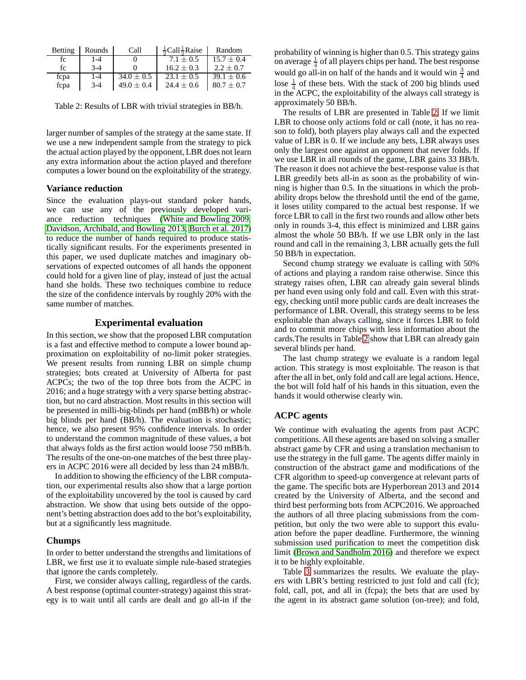| Betting | Rounds | Call           | $\frac{1}{2}$ Call $\frac{1}{2}$ Raise | Random         |
|---------|--------|----------------|----------------------------------------|----------------|
| fс      | 1-4    |                | $7.1 + 0.5$                            | $15.7 + 0.4$   |
| fc      | $3-4$  |                | $16.2 + 0.3$                           | $2.2 + 0.7$    |
| fcpa    | $1-4$  | $34.0 \pm 0.5$ | $23.1 + 0.5$                           | $39.1 + 0.6$   |
| fcpa    | $3-4$  | $49.0 \pm 0.4$ | $24.4 \pm 0.6$                         | $80.7 \pm 0.7$ |

<span id="page-3-0"></span>Table 2: Results of LBR with trivial strategies in BB/h.

larger number of samples of the strategy at the same state. If we use a new independent sample from the strategy to pick the actual action played by the opponent, LBR does not learn any extra information about the action played and therefore computes a lower bound on the exploitability of the strategy.

#### **Variance reduction**

Since the evaluation plays-out standard poker hands, we can use any of the previously developed variance reduction techniques [\(White and Bowling 2009;](#page-5-19) [Davidson, Archibald, and Bowling 2013;](#page-5-20) [Burch et al. 2017\)](#page-5-21) to reduce the number of hands required to produce statistically significant results. For the experiments presented in this paper, we used duplicate matches and imaginary observations of expected outcomes of all hands the opponent could hold for a given line of play, instead of just the actual hand she holds. These two techniques combine to reduce the size of the confidence intervals by roughly 20% with the same number of matches.

# **Experimental evaluation**

In this section, we show that the proposed LBR computation is a fast and effective method to compute a lower bound approximation on exploitability of no-limit poker strategies. We present results from running LBR on simple chump strategies; bots created at University of Alberta for past ACPCs; the two of the top three bots from the ACPC in 2016; and a huge strategy with a very sparse betting abstraction, but no card abstraction. Most results in this section will be presented in milli-big-blinds per hand (mBB/h) or whole big blinds per hand (BB/h). The evaluation is stochastic; hence, we also present 95% confidence intervals. In order to understand the common magnitude of these values, a bot that always folds as the first action would loose 750 mBB/h. The results of the one-on-one matches of the best three players in ACPC 2016 were all decided by less than 24 mBB/h.

In addition to showing the efficiency of the LBR computation, our experimental results also show that a large portion of the exploitability uncovered by the tool is caused by card abstraction. We show that using bets outside of the opponent's betting abstraction does add to the bot's exploitability, but at a significantly less magnitude.

#### **Chumps**

In order to better understand the strengths and limitations of LBR, we first use it to evaluate simple rule-based strategies that ignore the cards completely.

First, we consider always calling, regardless of the cards. A best response (optimal counter-strategy) against this strategy is to wait until all cards are dealt and go all-in if the

probability of winning is higher than 0.5. This strategy gains on average  $\frac{1}{4}$  of all players chips per hand. The best response would go all-in on half of the hands and it would win  $\frac{3}{4}$  and lose  $\frac{1}{4}$  of these bets. With the stack of 200 big blinds used in the ACPC, the exploitability of the always call strategy is approximately 50 BB/h.

The results of LBR are presented in Table [2.](#page-3-0) If we limit LBR to choose only actions fold or call (note, it has no reason to fold), both players play always call and the expected value of LBR is 0. If we include any bets, LBR always uses only the largest one against an opponent that never folds. If we use LBR in all rounds of the game, LBR gains 33 BB/h. The reason it does not achieve the best-response value is that LBR greedily bets all-in as soon as the probability of winning is higher than 0.5. In the situations in which the probability drops below the threshold until the end of the game, it loses utility compared to the actual best response. If we force LBR to call in the first two rounds and allow other bets only in rounds 3-4, this effect is minimized and LBR gains almost the whole 50 BB/h. If we use LBR only in the last round and call in the remaining 3, LBR actually gets the full 50 BB/h in expectation.

Second chump strategy we evaluate is calling with 50% of actions and playing a random raise otherwise. Since this strategy raises often, LBR can already gain several blinds per hand even using only fold and call. Even with this strategy, checking until more public cards are dealt increases the performance of LBR. Overall, this strategy seems to be less exploitable than always calling, since it forces LBR to fold and to commit more chips with less information about the cards.The results in Table [2](#page-3-0) show that LBR can already gain several blinds per hand.

The last chump strategy we evaluate is a random legal action. This strategy is most exploitable. The reason is that after the all in bet, only fold and call are legal actions. Hence, the bot will fold half of his hands in this situation, even the hands it would otherwise clearly win.

#### **ACPC agents**

We continue with evaluating the agents from past ACPC competitions. All these agents are based on solving a smaller abstract game by CFR and using a translation mechanism to use the strategy in the full game. The agents differ mainly in construction of the abstract game and modifications of the CFR algorithm to speed-up convergence at relevant parts of the game. The specific bots are Hyperborean 2013 and 2014 created by the University of Alberta, and the second and third best performing bots from ACPC2016. We approached the authors of all three placing submissions from the competition, but only the two were able to support this evaluation before the paper deadline. Furthermore, the winning submission used purification to meet the competition disk limit [\(Brown and Sandholm 2016\)](#page-5-22) and therefore we expect it to be highly exploitable.

Table [3](#page-4-0) summarizes the results. We evaluate the players with LBR's betting restricted to just fold and call (fc); fold, call, pot, and all in (fcpa); the bets that are used by the agent in its abstract game solution (on-tree); and fold,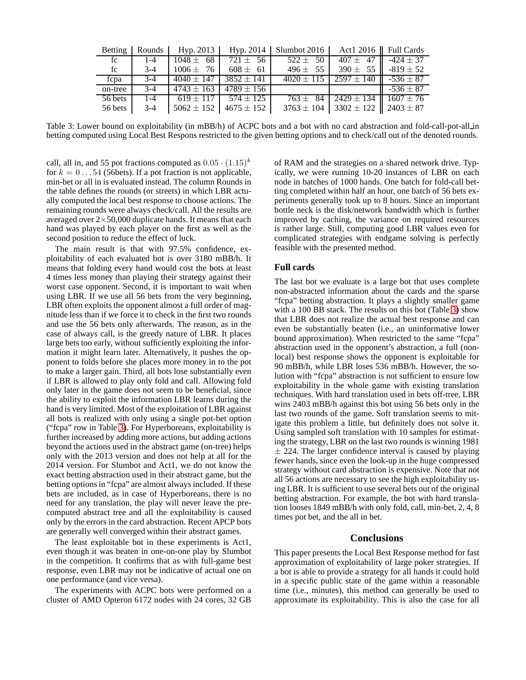|         | Betting   Rounds | Hyp. 2013                        |                                 | Hyp. 2014   Slumbot 2016 | Act1 2016   Full Cards                                  |                              |
|---------|------------------|----------------------------------|---------------------------------|--------------------------|---------------------------------------------------------|------------------------------|
| fc      | $1 - 4$          | $1048 \pm 68$                    | $721 \pm 56$                    | $522 \pm 50$             | $407 \pm 47$ $-424 \pm 37$                              |                              |
| fc      | $3-4$            | $1006 \pm 76$                    | $608 \pm 61$                    | $496 \pm 55$             | 390 $\pm$ 55                                            | $-819 \pm 52$                |
| fcpa    | $3-4$            | $-4040 \pm 147$   3852 $\pm$ 141 |                                 |                          | $4020 \pm 115$ $2597 \pm 140$                           | $\blacksquare$ -536 $\pm$ 87 |
| on-tree | $3-4$            |                                  | $4743 \pm 163$   $4789 \pm 156$ |                          |                                                         | $-536 \pm 87$                |
| 56 bets | $1 - 4$          |                                  | $619 + 117$ 574 + 125           | $763 \pm 84$             | $12429 \pm 134$ $1607 \pm 76$                           |                              |
| 56 bets | $3-4$            |                                  | $15062 \pm 152$ $4675 \pm 152$  |                          | $3763 \pm 104$ 3302 $\pm$ 122 $\parallel$ 2403 $\pm$ 87 |                              |

<span id="page-4-0"></span>Table 3: Lower bound on exploitability (in mBB/h) of ACPC bots and a bot with no card abstraction and fold-call-pot-all in betting computed using Local Best Respons restricted to the given betting options and to check/call out of the denoted rounds.

call, all in, and 55 pot fractions computed as  $0.05 \cdot (1.15)^k$ for  $k = 0 \dots 54$  (56bets). If a pot fraction is not applicable, min-bet or all in is evaluated instead. The column Rounds in the table defines the rounds (or streets) in which LBR actually computed the local best response to choose actions. The remaining rounds were always check/call. All the results are averaged over  $2\times 50,000$  duplicate hands. It means that each hand was played by each player on the first as well as the second position to reduce the effect of luck.

The main result is that with 97.5% confidence, exploitability of each evaluated bot is over 3180 mBB/h. It means that folding every hand would cost the bots at least 4 times less money than playing their strategy against their worst case opponent. Second, it is important to wait when using LBR. If we use all 56 bets from the very beginning, LBR often exploits the opponent almost a full order of magnitude less than if we force it to check in the first two rounds and use the 56 bets only afterwards. The reason, as in the case of always call, is the greedy nature of LBR. It places large bets too early, without sufficiently exploiting the information it might learn later. Alternatively, it pushes the opponent to folds before she places more money in to the pot to make a larger gain. Third, all bots lose substantially even if LBR is allowed to play only fold and call. Allowing fold only later in the game does not seem to be beneficial, since the ability to exploit the information LBR learns during the hand is very limited. Most of the exploitation of LBR against all bots is realized with only using a single pot-bet option ("fcpa" row in Table [3\)](#page-4-0). For Hyperboreans, exploitability is further increased by adding more actions, but adding actions beyond the actions used in the abstract game (on-tree) helps only with the 2013 version and does not help at all for the 2014 version. For Slumbot and Act1, we do not know the exact betting abstraction used in their abstract game, but the betting options in "fcpa" are almost always included. If these bets are included, as in case of Hyperboreans, there is no need for any translation, the play will never leave the precomputed abstract tree and all the exploitability is caused only by the errors in the card abstraction. Recent APCP bots are generally well converged within their abstract games.

The least exploitable bot in these experiments is Act1, even though it was beaten in one-on-one play by Slumbot in the competition. It confirms that as with full-game best response, even LBR may not be indicative of actual one on one performance (and vice versa).

The experiments with ACPC bots were performed on a cluster of AMD Opteron 6172 nodes with 24 cores, 32 GB

of RAM and the strategies on a shared network drive. Typically, we were running 10-20 instances of LBR on each node in batches of 1000 hands. One batch for fold-call betting completed within half an hour, one batch of 56 bets experiments generally took up to 8 hours. Since an important bottle neck is the disk/network bandwidth which is further improved by caching, the variance on required resources is rather large. Still, computing good LBR values even for complicated strategies with endgame solving is perfectly feasible with the presented method.

# **Full cards**

The last bot we evaluate is a large bot that uses complete non-abstracted information about the cards and the sparse "fcpa" betting abstraction. It plays a slightly smaller game with a 100 BB stack. The results on this bot (Table [3\)](#page-4-0) show that LBR does not realize the actual best response and can even be substantially beaten (i.e., an uninformative lower bound approximation). When restricted to the same "fcpa" abstraction used in the opponent's abstraction, a full (nonlocal) best response shows the opponent is exploitable for 90 mBB/h, while LBR loses 536 mBB/h. However, the solution with "fcpa" abstraction is not sufficient to ensure low exploitability in the whole game with existing translation techniques. With hard translation used in bets off-tree, LBR wins 2403 mBB/h against this bot using 56 bets only in the last two rounds of the game. Soft translation seems to mitigate this problem a little, but definitely does not solve it. Using sampled soft translation with 10 samples for estimating the strategy, LBR on the last two rounds is winning 1981  $\pm$  224. The larger confidence interval is caused by playing fewer hands, since even the look-up in the huge compressed strategy without card abstraction is expensive. Note that not all 56 actions are necessary to see the high exploitability using LBR. It is sufficient to use several bets out of the original betting abstraction. For example, the bot with hard translation looses 1849 mBB/h with only fold, call, min-bet, 2, 4, 8 times pot bet, and the all in bet.

#### **Conclusions**

This paper presents the Local Best Response method for fast approximation of exploitability of large poker strategies. If a bot is able to provide a strategy for all hands it could hold in a specific public state of the game within a reasonable time (i.e., minutes), this method can generally be used to approximate its exploitability. This is also the case for all